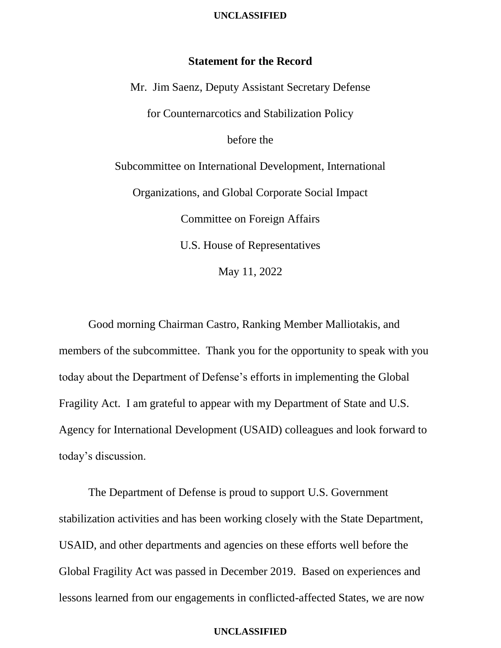## **UNCLASSIFIED**

# **Statement for the Record**

Mr. Jim Saenz, Deputy Assistant Secretary Defense for Counternarcotics and Stabilization Policy before the Subcommittee on International Development, International Organizations, and Global Corporate Social Impact Committee on Foreign Affairs U.S. House of Representatives May 11, 2022

Good morning Chairman Castro, Ranking Member Malliotakis, and members of the subcommittee. Thank you for the opportunity to speak with you today about the Department of Defense's efforts in implementing the Global Fragility Act. I am grateful to appear with my Department of State and U.S. Agency for International Development (USAID) colleagues and look forward to today's discussion.

The Department of Defense is proud to support U.S. Government stabilization activities and has been working closely with the State Department, USAID, and other departments and agencies on these efforts well before the Global Fragility Act was passed in December 2019. Based on experiences and lessons learned from our engagements in conflicted-affected States, we are now

## **UNCLASSIFIED**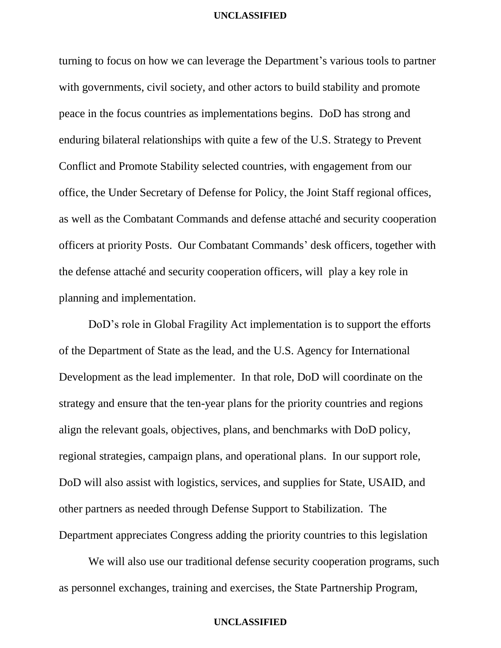## **UNCLASSIFIED**

turning to focus on how we can leverage the Department's various tools to partner with governments, civil society, and other actors to build stability and promote peace in the focus countries as implementations begins. DoD has strong and enduring bilateral relationships with quite a few of the U.S. Strategy to Prevent Conflict and Promote Stability selected countries, with engagement from our office, the Under Secretary of Defense for Policy, the Joint Staff regional offices, as well as the Combatant Commands and defense attaché and security cooperation officers at priority Posts. Our Combatant Commands' desk officers, together with the defense attaché and security cooperation officers, will play a key role in planning and implementation.

DoD's role in Global Fragility Act implementation is to support the efforts of the Department of State as the lead, and the U.S. Agency for International Development as the lead implementer. In that role, DoD will coordinate on the strategy and ensure that the ten-year plans for the priority countries and regions align the relevant goals, objectives, plans, and benchmarks with DoD policy, regional strategies, campaign plans, and operational plans. In our support role, DoD will also assist with logistics, services, and supplies for State, USAID, and other partners as needed through Defense Support to Stabilization. The Department appreciates Congress adding the priority countries to this legislation

We will also use our traditional defense security cooperation programs, such as personnel exchanges, training and exercises, the State Partnership Program,

# **UNCLASSIFIED**